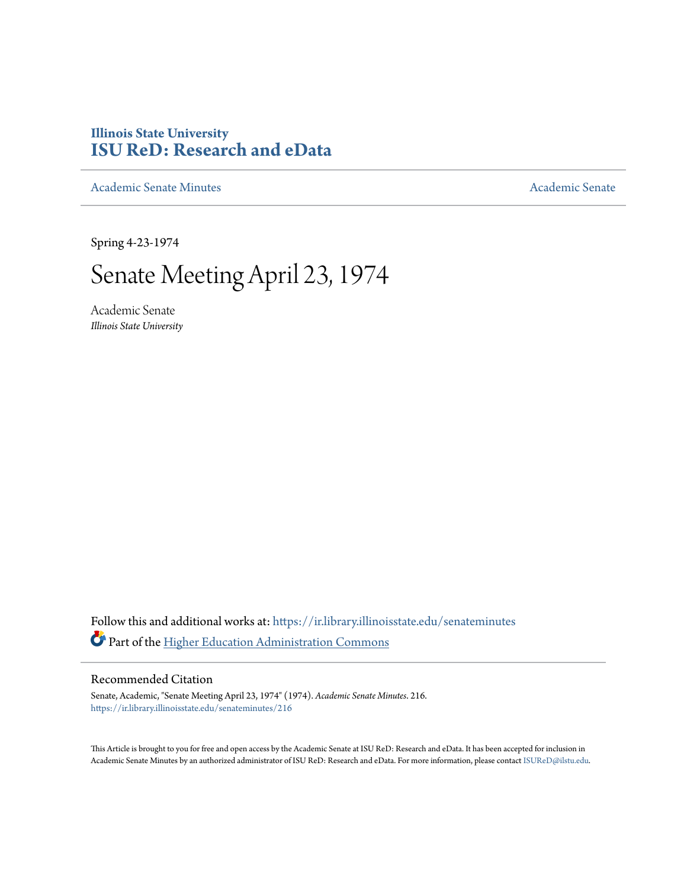## **Illinois State University [ISU ReD: Research and eData](https://ir.library.illinoisstate.edu?utm_source=ir.library.illinoisstate.edu%2Fsenateminutes%2F216&utm_medium=PDF&utm_campaign=PDFCoverPages)**

[Academic Senate Minutes](https://ir.library.illinoisstate.edu/senateminutes?utm_source=ir.library.illinoisstate.edu%2Fsenateminutes%2F216&utm_medium=PDF&utm_campaign=PDFCoverPages) [Academic Senate](https://ir.library.illinoisstate.edu/senate?utm_source=ir.library.illinoisstate.edu%2Fsenateminutes%2F216&utm_medium=PDF&utm_campaign=PDFCoverPages) Academic Senate

Spring 4-23-1974

## Senate Meeting April 23, 1974

Academic Senate *Illinois State University*

Follow this and additional works at: [https://ir.library.illinoisstate.edu/senateminutes](https://ir.library.illinoisstate.edu/senateminutes?utm_source=ir.library.illinoisstate.edu%2Fsenateminutes%2F216&utm_medium=PDF&utm_campaign=PDFCoverPages) Part of the [Higher Education Administration Commons](http://network.bepress.com/hgg/discipline/791?utm_source=ir.library.illinoisstate.edu%2Fsenateminutes%2F216&utm_medium=PDF&utm_campaign=PDFCoverPages)

## Recommended Citation

Senate, Academic, "Senate Meeting April 23, 1974" (1974). *Academic Senate Minutes*. 216. [https://ir.library.illinoisstate.edu/senateminutes/216](https://ir.library.illinoisstate.edu/senateminutes/216?utm_source=ir.library.illinoisstate.edu%2Fsenateminutes%2F216&utm_medium=PDF&utm_campaign=PDFCoverPages)

This Article is brought to you for free and open access by the Academic Senate at ISU ReD: Research and eData. It has been accepted for inclusion in Academic Senate Minutes by an authorized administrator of ISU ReD: Research and eData. For more information, please contact [ISUReD@ilstu.edu.](mailto:ISUReD@ilstu.edu)